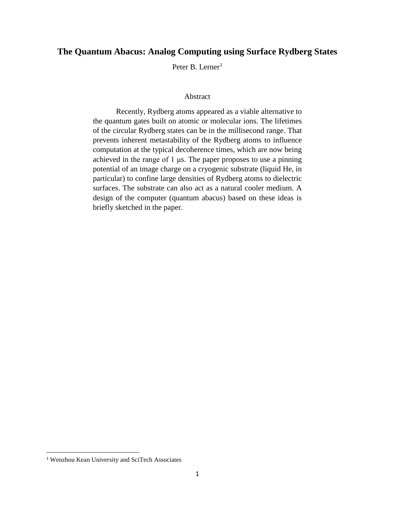## **The Quantum Abacus: Analog Computing using Surface Rydberg States**

Peter B. Lerner<sup>1</sup>

## Abstract

Recently, Rydberg atoms appeared as a viable alternative to the quantum gates built on atomic or molecular ions. The lifetimes of the circular Rydberg states can be in the millisecond range. That prevents inherent metastability of the Rydberg atoms to influence computation at the typical decoherence times, which are now being achieved in the range of 1 μs. The paper proposes to use a pinning potential of an image charge on a cryogenic substrate (liquid He, in particular) to confine large densities of Rydberg atoms to dielectric surfaces. The substrate can also act as a natural cooler medium. A design of the computer (quantum abacus) based on these ideas is briefly sketched in the paper.

 $\overline{\phantom{a}}$ 

<sup>1</sup> Wenzhou Kean University and SciTech Associates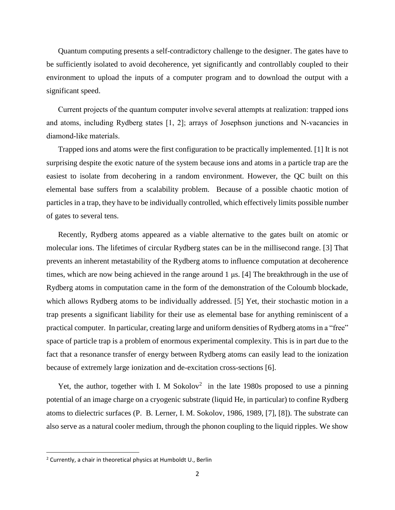Quantum computing presents a self-contradictory challenge to the designer. The gates have to be sufficiently isolated to avoid decoherence, yet significantly and controllably coupled to their environment to upload the inputs of a computer program and to download the output with a significant speed.

Current projects of the quantum computer involve several attempts at realization: trapped ions and atoms, including Rydberg states [1, 2]; arrays of Josephson junctions and N-vacancies in diamond-like materials.

Trapped ions and atoms were the first configuration to be practically implemented. [1] It is not surprising despite the exotic nature of the system because ions and atoms in a particle trap are the easiest to isolate from decohering in a random environment. However, the QC built on this elemental base suffers from a scalability problem. Because of a possible chaotic motion of particles in a trap, they have to be individually controlled, which effectively limits possible number of gates to several tens.

Recently, Rydberg atoms appeared as a viable alternative to the gates built on atomic or molecular ions. The lifetimes of circular Rydberg states can be in the millisecond range. [3] That prevents an inherent metastability of the Rydberg atoms to influence computation at decoherence times, which are now being achieved in the range around 1 μs. [4] The breakthrough in the use of Rydberg atoms in computation came in the form of the demonstration of the Coloumb blockade, which allows Rydberg atoms to be individually addressed. [5] Yet, their stochastic motion in a trap presents a significant liability for their use as elemental base for anything reminiscent of a practical computer. In particular, creating large and uniform densities of Rydberg atoms in a "free" space of particle trap is a problem of enormous experimental complexity. This is in part due to the fact that a resonance transfer of energy between Rydberg atoms can easily lead to the ionization because of extremely large ionization and de-excitation cross-sections [6].

Yet, the author, together with I. M Sokolov<sup>2</sup> in the late 1980s proposed to use a pinning potential of an image charge on a cryogenic substrate (liquid He, in particular) to confine Rydberg atoms to dielectric surfaces (P. B. Lerner, I. M. Sokolov, 1986, 1989, [7], [8]). The substrate can also serve as a natural cooler medium, through the phonon coupling to the liquid ripples. We show

 $\overline{\phantom{a}}$ 

 $2$  Currently, a chair in theoretical physics at Humboldt U., Berlin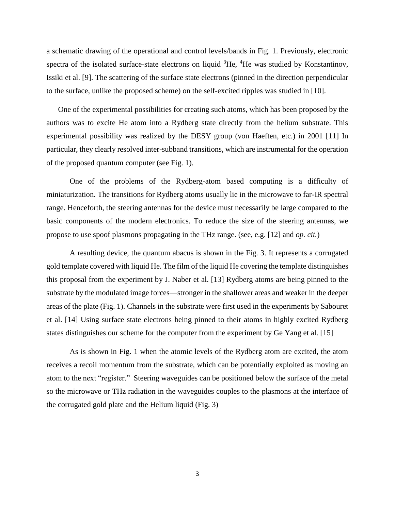a schematic drawing of the operational and control levels/bands in Fig. 1. Previously, electronic spectra of the isolated surface-state electrons on liquid  ${}^{3}$ He,  ${}^{4}$ He was studied by Konstantinov, Issiki et al. [9]. The scattering of the surface state electrons (pinned in the direction perpendicular to the surface, unlike the proposed scheme) on the self-excited ripples was studied in [10].

One of the experimental possibilities for creating such atoms, which has been proposed by the authors was to excite He atom into a Rydberg state directly from the helium substrate. This experimental possibility was realized by the DESY group (von Haeften, etc.) in 2001 [11] In particular, they clearly resolved inter-subband transitions, which are instrumental for the operation of the proposed quantum computer (see Fig. 1).

One of the problems of the Rydberg-atom based computing is a difficulty of miniaturization. The transitions for Rydberg atoms usually lie in the microwave to far-IR spectral range. Henceforth, the steering antennas for the device must necessarily be large compared to the basic components of the modern electronics. To reduce the size of the steering antennas, we propose to use spoof plasmons propagating in the THz range. (see, e.g. [12] and *op. cit.*)

A resulting device, the quantum abacus is shown in the Fig. 3. It represents a corrugated gold template covered with liquid He. The film of the liquid He covering the template distinguishes this proposal from the experiment by J. Naber et al. [13] Rydberg atoms are being pinned to the substrate by the modulated image forces—stronger in the shallower areas and weaker in the deeper areas of the plate (Fig. 1). Channels in the substrate were first used in the experiments by Sabouret et al. [14] Using surface state electrons being pinned to their atoms in highly excited Rydberg states distinguishes our scheme for the computer from the experiment by Ge Yang et al. [15]

As is shown in Fig. 1 when the atomic levels of the Rydberg atom are excited, the atom receives a recoil momentum from the substrate, which can be potentially exploited as moving an atom to the next "register." Steering waveguides can be positioned below the surface of the metal so the microwave or THz radiation in the waveguides couples to the plasmons at the interface of the corrugated gold plate and the Helium liquid (Fig. 3)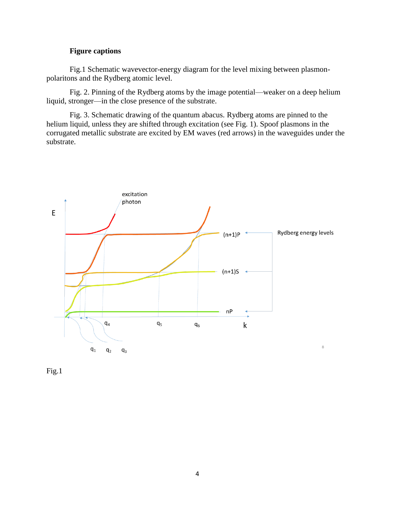## **Figure captions**

Fig.1 Schematic wavevector-energy diagram for the level mixing between plasmonpolaritons and the Rydberg atomic level.

Fig. 2. Pinning of the Rydberg atoms by the image potential—weaker on a deep helium liquid, stronger—in the close presence of the substrate.

Fig. 3. Schematic drawing of the quantum abacus. Rydberg atoms are pinned to the helium liquid, unless they are shifted through excitation (see Fig. 1). Spoof plasmons in the corrugated metallic substrate are excited by EM waves (red arrows) in the waveguides under the substrate.



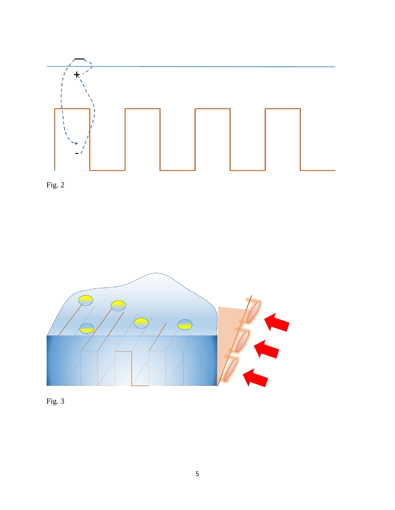